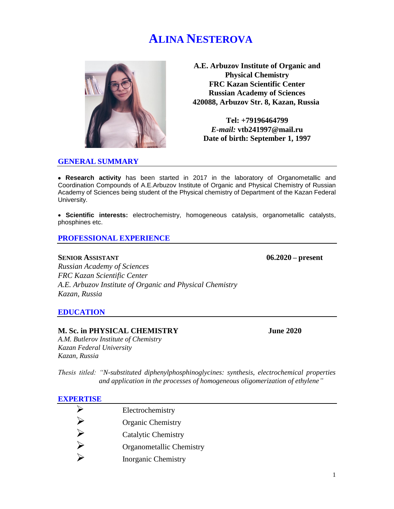# **ALINA NESTEROVA**



**A.E. Arbuzov Institute of Organic and Physical Chemistry FRC Kazan Scientific Center Russian Academy of Sciences 420088, Arbuzov Str. 8, Kazan, Russia**

**Tel: +79196464799** *E-mail:* **vtb241997@mail.ru Date of birth: September 1, 1997**

#### **GENERAL SUMMARY**

 **Research activity** has been started in 2017 in the laboratory of Organometallic and Coordination Compounds of A.E.Arbuzov Institute of Organic and Physical Chemistry of Russian Academy of Sciences being student of the Physical chemistry of Department of the Kazan Federal University.

 **Scientific interests:** electrochemistry, homogeneous catalysis, organometallic catalysts, phosphines etc.

#### **PROFESSIONAL EXPERIENCE**

#### **SENIOR ASSISTANT 06.2020 – present**

*Russian Academy of Sciences FRC Kazan Scientific Center A.E. Arbuzov Institute of Organic and Physical Chemistry Kazan, Russia*

#### **EDUCATION**

#### **M. Sc. in PHYSICAL CHEMISTRY June 2020**

*A.M. Butlerov Institute of Chemistry Kazan Federal University Kazan, Russia*

*Thesis titled: "N-substituted diphenylphosphinoglycines: synthesis, electrochemical properties and application in the processes of homogeneous oligomerization of ethylene"*

#### **EXPERTISE**

Electrochemistry<br>
Organic Chemistry<br>
Catalytic Chemis<br>
Organometallic C<br>
Dorganic Chemis Organic Chemistry Catalytic Chemistry Organometallic Chemistry Inorganic Chemistry

1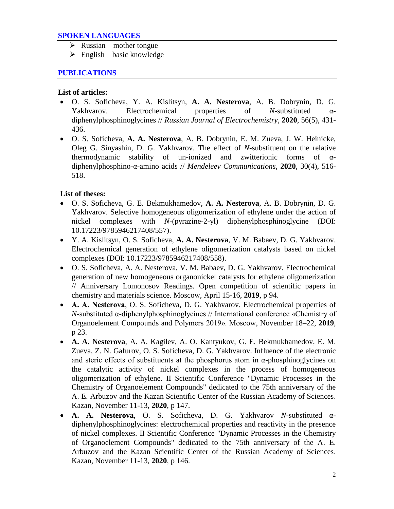## **SPOKEN LANGUAGES**

- $\triangleright$  Russian mother tongue
- $\triangleright$  English basic knowledge

# **PUBLICATIONS**

## **List of articles:**

- O. S. Soficheva, Y. A. Kislitsyn, **A. A. Nesterova**, A. B. Dobrynin, D. G. Yakhvarov. Electrochemical properties of *N*-substituted αdiphenylphosphinoglycines // *Russian Journal of Electrochemistry*, **2020**, 56(5), 431- 436.
- O. S. Soficheva, **A. A. Nesterova**, A. B. Dobrynin, E. M. Zueva, J. W. Heinicke, Oleg G. Sinyashin, D. G. Yakhvarov. The effect of *N*-substituent on the relative thermodynamic stability of un-ionized and zwitterionic forms of αdiphenylphosphino-α-amino acids // *Mendeleev Communications*, **2020**, 30(4), 516- 518.

# **List of theses:**

- O. S. Soficheva, G. E. Bekmukhamedov, **A. A. Nesterova**, A. B. Dobrynin, D. G. Yakhvarov. Selective homogeneous oligomerization of ethylene under the action of nickel complexes with *N*-(pyrazine-2-yl) diphenylphosphinoglycine (DOI: 10.17223/9785946217408/557).
- Y. A. Kislitsyn, O. S. Soficheva, **A. A. Nesterova**, V. M. Babaev, D. G. Yakhvarov. Electrochemical generation of ethylene oligomerization catalysts based on nickel complexes (DOI: 10.17223/9785946217408/558).
- O. S. Soficheva, A. A. Nesterova, V. M. Babaev, D. G. Yakhvarov. Electrochemical generation of new homogeneous organonickel catalysts for ethylene oligomerization // Anniversary Lomonosov Readings. Open competition of scientific papers in chemistry and materials science. Moscow, April 15-16, **2019**, p 94.
- **А. А. Nesterova**, О. S. Soficheva, D. G. Yakhvarov. Electrochemical properties of *N*-substituted α-diphenylphosphinoglycines // International conference «Chemistry of Organoelement Compounds and Polymers 2019». Moscow, November 18–22, **2019**, p 23.
- **A. A. Nesterova**, A. A. Kagilev, A. O. Kantyukov, G. E. Bekmukhamedov, E. M. Zueva, Z. N. Gafurov, O. S. Soficheva, D. G. Yakhvarov. Influence of the electronic and steric effects of substituents at the phosphorus atom in  $\alpha$ -phosphinoglycines on the catalytic activity of nickel complexes in the process of homogeneous oligomerization of ethylene. II Scientific Conference "Dynamic Processes in the Chemistry of Organoelement Compounds" dedicated to the 75th anniversary of the A. E. Arbuzov and the Kazan Scientific Center of the Russian Academy of Sciences. Kazan, November 11-13, **2020**, p 147.
- **A. A. Nesterova**, O. S. Soficheva, D. G. Yakhvarov *N*-substituted αdiphenylphosphinoglycines: electrochemical properties and reactivity in the presence of nickel complexes. II Scientific Conference "Dynamic Processes in the Chemistry of Organoelement Compounds" dedicated to the 75th anniversary of the A. E. Arbuzov and the Kazan Scientific Center of the Russian Academy of Sciences. Kazan, November 11-13, **2020**, p 146.